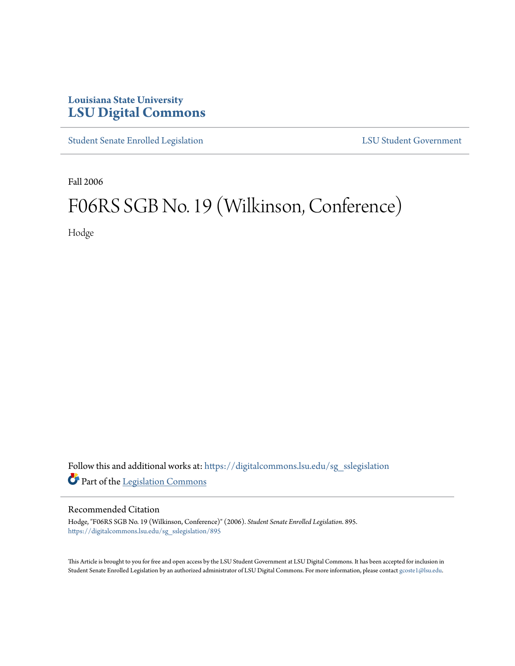## **Louisiana State University [LSU Digital Commons](https://digitalcommons.lsu.edu?utm_source=digitalcommons.lsu.edu%2Fsg_sslegislation%2F895&utm_medium=PDF&utm_campaign=PDFCoverPages)**

[Student Senate Enrolled Legislation](https://digitalcommons.lsu.edu/sg_sslegislation?utm_source=digitalcommons.lsu.edu%2Fsg_sslegislation%2F895&utm_medium=PDF&utm_campaign=PDFCoverPages) [LSU Student Government](https://digitalcommons.lsu.edu/sg?utm_source=digitalcommons.lsu.edu%2Fsg_sslegislation%2F895&utm_medium=PDF&utm_campaign=PDFCoverPages)

Fall 2006

## F06RS SGB No. 19 (Wilkinson, Conference)

Hodge

Follow this and additional works at: [https://digitalcommons.lsu.edu/sg\\_sslegislation](https://digitalcommons.lsu.edu/sg_sslegislation?utm_source=digitalcommons.lsu.edu%2Fsg_sslegislation%2F895&utm_medium=PDF&utm_campaign=PDFCoverPages) Part of the [Legislation Commons](http://network.bepress.com/hgg/discipline/859?utm_source=digitalcommons.lsu.edu%2Fsg_sslegislation%2F895&utm_medium=PDF&utm_campaign=PDFCoverPages)

## Recommended Citation

Hodge, "F06RS SGB No. 19 (Wilkinson, Conference)" (2006). *Student Senate Enrolled Legislation*. 895. [https://digitalcommons.lsu.edu/sg\\_sslegislation/895](https://digitalcommons.lsu.edu/sg_sslegislation/895?utm_source=digitalcommons.lsu.edu%2Fsg_sslegislation%2F895&utm_medium=PDF&utm_campaign=PDFCoverPages)

This Article is brought to you for free and open access by the LSU Student Government at LSU Digital Commons. It has been accepted for inclusion in Student Senate Enrolled Legislation by an authorized administrator of LSU Digital Commons. For more information, please contact [gcoste1@lsu.edu.](mailto:gcoste1@lsu.edu)